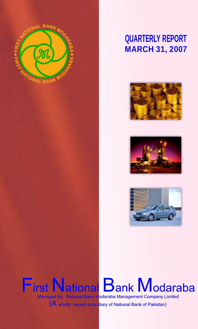

# **QUARTERLY REPORT MARCH 31, 2007**







# **First National Bank Modaraba** Managed By: National Bank Modaraba Management Company Limited (A wholly owned subsidiary of National Bank of Pakistan)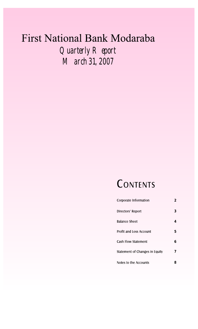# First National Bank Modaraba *Quarterly Report March 31, 2007*

# **CONTENTS**

| Corporate Information          | 2 |
|--------------------------------|---|
| Directors' Report              | 3 |
| Balance Sheet                  | 4 |
| Profit and Loss Account        | 5 |
| Cash Flow Statement            | 6 |
| Statement of Changes in Equity | 7 |
| Notes to the Accounts          | 8 |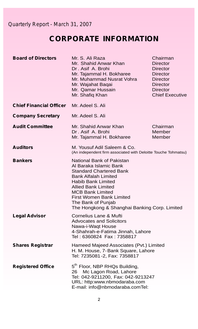# **CORPORATE INFORMATION**

| <b>Board of Directors</b>      | Mr. S. Ali Raza<br>Mr. Shahid Anwar Khan<br>Dr. Asif A. Brohi<br>Mr. Tajammal H. Bokharee<br>Mr. Muhammad Nusrat Vohra<br>Mr. Wajahat Baqai<br>Mr. Qamar Hussain<br>Mr. Shafiq Khan                                                                                                                           | Chairman<br><b>Director</b><br><b>Director</b><br><b>Director</b><br><b>Director</b><br>Director<br><b>Director</b><br><b>Chief Executive</b> |
|--------------------------------|---------------------------------------------------------------------------------------------------------------------------------------------------------------------------------------------------------------------------------------------------------------------------------------------------------------|-----------------------------------------------------------------------------------------------------------------------------------------------|
| <b>Chief Financial Officer</b> | Mr. Adeel S. Ali                                                                                                                                                                                                                                                                                              |                                                                                                                                               |
| <b>Company Secretary</b>       | Mr. Adeel S. Ali                                                                                                                                                                                                                                                                                              |                                                                                                                                               |
| <b>Audit Committee</b>         | Mr. Shahid Anwar Khan<br>Dr. Asif A. Brohi<br>Mr. Tajammal H. Bokharee                                                                                                                                                                                                                                        | Chairman<br>Member<br>Member                                                                                                                  |
| <b>Auditors</b>                | M. Yousuf Adil Saleem & Co.<br>(An independent firm associated with Deloitte Touche Tohmatsu)                                                                                                                                                                                                                 |                                                                                                                                               |
| <b>Bankers</b>                 | National Bank of Pakistan<br>Al Baraka Islamic Bank<br>Standard Chartered Bank<br><b>Bank Alfalah Limited</b><br><b>Habib Bank Limited</b><br><b>Allied Bank Limited</b><br><b>MCB Bank Limited</b><br><b>First Women Bank Limited</b><br>The Bank of Punjab<br>The Hongkong & Shanghai Banking Corp. Limited |                                                                                                                                               |
| <b>Legal Advisor</b>           | Cornelius Lane & Mufti<br><b>Advocates and Solicitors</b><br>Nawa-i-Waqt House<br>4-Shahrah-e-Fatima Jinnah, Lahore<br>Tel: 6360824 Fax: 7358817                                                                                                                                                              |                                                                                                                                               |
| <b>Shares Registrar</b>        | Hameed Majeed Associates (Pvt.) Limited<br>H. M. House, 7-Bank Square, Lahore<br>Tel: 7235081-2, Fax: 7358817                                                                                                                                                                                                 |                                                                                                                                               |
| <b>Registered Office</b>       | 5 <sup>th</sup> Floor, NBP RHQs Building,<br>Mc Lagon Road, Lahore<br>26<br>Tel: 042-9211200, Fax: 042-9213247<br>URL: http:www.nbmodaraba.com<br>E-mail: info@nbmodaraba.comTel:                                                                                                                             |                                                                                                                                               |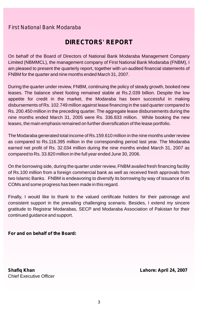## **DIRECTORS' REPORT**

On behalf of the Board of Directors of National Bank Modaraba Management Company Limited (NBMMCL), the management company of First National Bank Modaraba (FNBM), I am pleased to present the quarterly report, together with un-audited financial statements of FNBM for the quarter and nine months ended March 31, 2007.

During the quarter under review, FNBM, continuing the policy of steady growth, booked new leases. The balance sheet footing remained stable at Rs.2.039 billion. Despite the low appetite for credit in the market, the Modaraba has been successful in making disbursements of Rs. 102.749 million against lease financing in the said quarter compared to Rs. 200.450 million in the preceding quarter. The aggregate lease disbursements during the nine months ended March 31, 2005 were Rs. 336.833 million. While booking the new leases, the main emphasis remained on further diversification of the lease portfolio.

The Modaraba generated total income of Rs.159.610 million in the nine months under review as compared to Rs.116.395 million in the corresponding period last year. The Modaraba earned net profit of Rs. 32.034 million during the nine months ended March 31, 2007 as compared to Rs. 33.820 million in the full year ended June 30, 2006.

On the borrowing side, during the quarter under review, FNBM availed fresh financing facility of Rs.100 million from a foreign commercial bank as well as received fresh approvals from two Islamic Banks. FNBM is endeavoring to diversify its borrowing by way of issuance of its COMs and some progress has been made in this regard.

Finally, I would like to thank to the valued certificate holders for their patronage and consistent support in the prevailing challenging scenario. Besides, I extend my sincere gratitude to Registrar Modarabas, SECP and Modaraba Association of Pakistan for their continued guidance and support.

### **For and on behalf of the Board:**

Chief Executive Officer

**Shafiq Khan Lahore: April 24, 2007**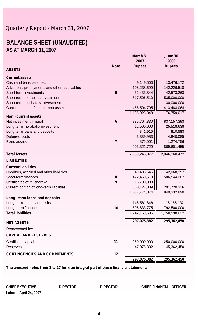## **BALANCE SHEET (UNAUDITED) AS AT MARCH 31, 2007**

|                                             |                | mar<br>2007   | <b>JULIC</b><br>2006 |
|---------------------------------------------|----------------|---------------|----------------------|
|                                             | <b>Note</b>    | <b>Rupees</b> | <b>Rupees</b>        |
| <b>ASSETS</b>                               |                |               |                      |
| <b>Current assets</b>                       |                |               |                      |
| Cash and bank balances                      |                | 9,149,500     | 13,476,172           |
| Advances, prepayments and other receivables |                | 108,238,699   | 142,226,518          |
| Short-term investments                      | 5              | 32,433,844    | 42,573,263           |
| Short-term morabaha investment              |                | 517,506,510   | 535,000,000          |
| Short-term musharaka investment             |                |               | 30,000,000           |
| Current portion of non-current assets       |                | 468,594,795   | 413,483,064          |
| <b>Non - current assets</b>                 |                | 1,135,923,348 | 1,176,759,017        |
| Net investment in ijarah                    | $6\phantom{1}$ | 885,764,830   | 837, 157, 393        |
| Long-term morabaha investment               |                | 12,500,000    | 25,518,638           |
| Long-term loans and deposits                |                | 841,915       | 810,583              |
| Deferred costs                              |                | 3,339,983     | 4,840,085            |
| <b>Fixed assets</b>                         | $\overline{7}$ | 875,001       | 1,274,756            |
|                                             |                | 903,321,729   | 869,601,455          |
| <b>Total Assets</b>                         |                | 2,039,245,077 | 2,046,360,472        |
| <b>LIABILITIES</b>                          |                |               |                      |
| <b>Current liabilities</b>                  |                |               |                      |
| Creditors, accrued and other liabilities    |                | 49,496,546    | 42,068,357           |
| Short-term finances                         | 8              | 472,450,519   | 506,544,207          |
| Certificates of Musharaka                   | 9              | 15,700,000    |                      |
| Current portion of long-term liabilities    |                | 550,127,009   | 291,720,326          |
|                                             |                | 1,087,774,074 | 840,332,890          |
| Long - term loans and deposits              |                |               |                      |
| Long-term security deposits                 |                | 148,561,846   | 118, 165, 132        |
| Long -term finances                         | 10             | 505,833,775   | 792,500,000          |
| <b>Total liabilities</b>                    |                | 1,742,169,695 | 1,750,998,022        |
| <b>NET ASSETS</b>                           |                | 297,075,382   | 295,362,450          |
| Represented by:                             |                |               |                      |
| <b>CAPITAL AND RESERVES</b>                 |                |               |                      |
| Certificate capital                         | 11             | 250,000,000   | 250,000,000          |
| Reserves                                    |                | 47,075,382    | 45,362,450           |
|                                             |                |               |                      |
| <b>CONTINGENCIES AND COMMITMENTS</b>        | 12             |               |                      |
|                                             |                | 297,075,382   | 295,362,450          |

**March 31 June 30**

*The annexed notes from 1 to 17 form an integral part of these financial statements*

| CHIEF EXECUTIVE        | DIRECTOR | DIRECTOR | CHIEF FINANCIAL OFFICER |
|------------------------|----------|----------|-------------------------|
| Lahore: April 24, 2007 |          |          |                         |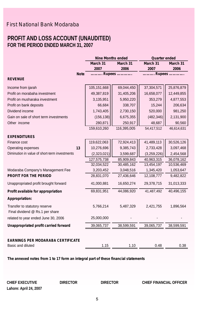### **PROFIT AND LOSS ACCOUNT (UNAUDITED) FOR THE PERIOD ENDED MARCH 31, 2007** ľ

|                                                               |             | <b>Nine Months ended</b> |             | <b>Quarter ended</b> |                 |
|---------------------------------------------------------------|-------------|--------------------------|-------------|----------------------|-----------------|
|                                                               |             | March 31                 | March 31    | March 31             | <b>March 31</b> |
|                                                               |             | 2007                     | 2006        | 2007                 | 2006            |
|                                                               | <b>Note</b> | Rupees                   |             | Rupees               |                 |
| <b>REVENUE</b>                                                |             |                          |             |                      |                 |
| Income from ijarah                                            |             | 105,151,668              | 69,044,450  | 37,304,571           | 25,876,879      |
| Profit on morabaha investment                                 |             | 49,387,819               | 31,405,206  | 16,658,077           | 12,449,855      |
| Profit on musharaka investment                                |             | 3,135,951                | 5,950,220   | 353,279              | 4,877,553       |
| Profit on bank deposits                                       |             | 66,684                   | 338,707     | 15,244               | 206,634         |
| Dividend income                                               |             | 1,743,405                | 2,730,150   | 520,000              | 981,250         |
| Gain on sale of short term investments                        |             | (156, 138)               | 6,675,355   | (482, 346)           | 2,131,900       |
| Other income                                                  |             | 280,871                  | 250,917     | 48,687               | 90,560          |
|                                                               |             | 159,610,260              | 116,395,005 | 54,417,512           | 46,614,631      |
| <b>EXPENDITURES</b>                                           |             |                          |             |                      |                 |
| Finance cost                                                  |             | 119,622,063              | 72,924,413  | 41,489,113           | 30,526,126      |
| Operating expenses                                            | 13          | 10,276,696               | 9,385,743   | 2,733,428            | 3,097,468       |
| Diminution in value of short-term investments                 |             | (2,323,021)              | 3,599,687   | (3,259,226)          | 2,454,568       |
|                                                               |             | 127,575,738              | 85,909,843  | 40,963,315           | 36,078,162      |
|                                                               |             | 32,034,522               | 30,485,162  | 13,454,197           | 10,536,469      |
| Modaraba Company's Management Fee                             |             | 3,203,452                | 3,048,516   | 1,345,420            | 1,053,647       |
| <b>PROFIT FOR THE PERIOD</b>                                  |             | 28,831,070               | 27,436,646  | 12,108,777           | 9,482,822       |
| Unappropriated profit brought forward                         |             | 41,000,881               | 16,650,274  | 29,378,715           | 31,013,333      |
| Profit available for appropriation                            |             | 69,831,951               | 44,086,920  | 41,487,492           | 40,496,155      |
| Appropriation:                                                |             |                          |             |                      |                 |
| Transfer to statutory reserve                                 |             | 5,766,214                | 5,487,329   | 2,421,755            | 1,896,564       |
| Final dividend @ Rs.1 per share                               |             |                          |             |                      |                 |
| related to year ended June 30, 2006                           |             | 25,000,000               |             |                      |                 |
| Unappropriated profit carried forward                         |             | 39,065,737               | 38,599,591  | 39,065,737           | 38,599,591      |
|                                                               |             |                          |             |                      |                 |
| <b>EARNINGS PER MODARABA CERTIFICATE</b><br>Basic and diluted |             | 1.15                     | 1.10        | 0.48                 | 0.38            |

*The annexed notes from 1 to 17 form an integral part of these financial statements*

**Lahore: April 24, 2007**

**CHIEF EXECUTIVE DIRECTOR DIRECTOR CHIEF FINANCIAL OFFICER**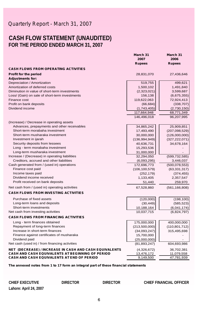### **CASH FLOW STATEMENT (UNAUDITED) FOR THE PERIOD ENDED MARCH 31, 2007**

|                                                         | March 31        | March 31        |  |
|---------------------------------------------------------|-----------------|-----------------|--|
|                                                         | 2007            | 2006            |  |
|                                                         | <b>Rupees</b>   | <b>Rupees</b>   |  |
| <b>CASH FLOWS FROM OPERATING ACTIVITIES</b>             |                 |                 |  |
| <b>Profit for the period</b>                            | 28,831,070      | 27,436,646      |  |
| <b>Adjustments for:</b>                                 |                 |                 |  |
| Depreciation / Amortization                             | 519,755         | 499,621         |  |
| Amortization of deferred costs                          | 1,500,102       | 1,491,840       |  |
| Diminution in value of short-term investments           | (2,323,021)     | 3,599,687       |  |
| Loss/ (Gain) on sale of short-term investments          | 156,138         | (6,675,355)     |  |
| Finance cost                                            | 119,622,063     | 72,924,413      |  |
| Profit on bank deposits                                 | (66, 684)       | (338, 707)      |  |
| Dividend income                                         | (1,743,405)     | (2,730,150)     |  |
|                                                         | 117,664,948     | 68,771,349      |  |
|                                                         | 146,496,018     | 96,207,995      |  |
| (Increase) / Decrease in operating assets               |                 |                 |  |
| Advances, prepayments and other receivables             | 34,865,242      | 25,909,851      |  |
| Short-term morabaha investment                          | 17,493,490      | (207,098,529)   |  |
| Short-term musharaka investment                         | 30,000,000      | (126,000,000)   |  |
| Investment in ijarah                                    | (136, 994, 949) | (327, 222, 071) |  |
| Security deposits from lessees                          | 40,636,731      | 34,678,164      |  |
| Long - term morabaha investment                         | 15,293,536      |                 |  |
| Long-term musharaka investment                          | 31,000,000      |                 |  |
| Increase / (Decrease) in operating liabilities          | 32,294,050      | (599, 732, 585) |  |
| Creditors, accrued and other liabilities                | (6,093,295)     | 3,446,037       |  |
| Cash generated from / (used in) operations              | 172,696,773     | (500, 078, 553) |  |
| Finance cost paid                                       | (106, 100, 579) | (63, 331, 317)  |  |
| Income taxes paid                                       | (252, 179)      | (374, 455)      |  |
| Dividend income received                                | 1,133,405       | 2,357,547       |  |
| Profit received on bank deposits                        | 51,440          | 259,970         |  |
| Net cash from / (used in) operating activities          | 67,528,860      | (561, 166, 808) |  |
| <b>CASH FLOWS FROM INVESTING ACTIVITIES</b>             |                 |                 |  |
|                                                         |                 |                 |  |
| Purchase of fixed assets                                | (120,000)       | (198, 100)      |  |
| Long-term loans and deposits                            | (30, 449)       | (585, 523)      |  |
| Short-term investments                                  | 10,188,164      | (6,041,174)     |  |
| Net cash from investing activities                      | 10,037,715      | (6,824,797)     |  |
| <b>CASH FLOWS FROM FINANCING ACTIVITIES</b>             |                 |                 |  |
| Long - term finances obtained                           | 175,000,000     | 400,000,000     |  |
| Repayment of long-term finances                         | (213,500,000)   | (110, 801, 712) |  |
| Increase in short-term finances                         | (34,093,247)    | 315,495,698     |  |
| Finance against certificates of musharaka               | 15,700,000      |                 |  |
| Dividend paid                                           | (25,000,000)    |                 |  |
| Net cash (used in) / from financing activities          | (81, 893, 247)  | 604,693,986     |  |
| NET (DECREASE) / INCREASE IN CASH AND CASH EQUIVALENTS  | (4,326,672)     | 36,702,381      |  |
| <b>CASH AND CASH EQUIVALENTS AT BEGINNING OF PERIOD</b> | 13,476,172      | 11,079,558      |  |
| <b>CASH AND CASH EQUIVALENTS AT END OF PERIOD</b>       | 9,149,500       | 47,781,939      |  |

*The annexed notes from 1 to 17 form an integral part of these financial statements*

**CHIEF EXECUTIVE DIRECTOR DIRECTOR CHIEF FINANCIAL OFFICER**

**Lahore: April 24, 2007**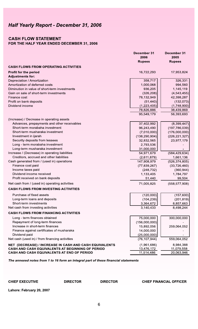### Half Yearly Report - December 31, 2006

### **CASH FLOW STATEMENT**

### FOR THE HALF YEAR ENDED DECEMBER 31, 2006

|                                                        | ресенрег эт<br>2006 | ресенноег эт<br>2005 |
|--------------------------------------------------------|---------------------|----------------------|
|                                                        | <b>Rupees</b>       | <b>Rupees</b>        |
| <b>CASH FLOWS FROM OPERATING ACTIVITIES</b>            |                     |                      |
| Profit for the period<br><b>Adjustments for:</b>       | 16,722,293          | 17,953,824           |
| Depreciation / Amortization                            | 358,717             | 326,331              |
| Amortization of deferred costs                         | 1,000,068           | 994,560              |
| Diminution in value of short-term investments          | 936,205             | 1,145,119            |
| Gain on sale of short-term investments                 | (326, 208)          | (4, 543, 455)        |
| Finance cost                                           | 78,132,949          | 42,398,287           |
| Profit on bank deposits                                | (51, 440)           | (132,073)            |
| Dividend income                                        | (1,223,405)         | (1,748,900)          |
|                                                        | 78,826,886          | 38,439,869           |
|                                                        | 95,549,179          | 56,393,693           |
| (Increase) / Decrease in operating assets              |                     |                      |
| Advances, prepayments and other receivables            | 37,402,992          | (8,399,447)          |
| Short-term morabaha investment                         | 96,243,490          | (197, 786, 039)      |
| Short-term musharaka investment                        | (7,010,000)         | (176,000,000)        |
| Investment in ijarah                                   | (138, 290, 904)     | (226, 221, 327)      |
| Security deposits from lessees                         | 32,832,565          | 23,977,179           |
| Long - term morabaha investment                        | 2,793,536           |                      |
| Long-term musharaka investment                         | 31,000,000          |                      |
| Increase / (Decrease) in operating liabilities         | 54,971,679          | (584, 429, 634)      |
| Creditors, accrued and other liabilities               | (2,611,879)         | 1,661,136            |
| Cash generated from / (used in) operations             | 147,908,979         | (526, 374, 805)      |
| Finance cost paid                                      | (77, 839, 267)      | (33, 726, 460)       |
| Income taxes paid                                      | (248, 732)          | (360, 944)           |
| Dividend income received                               | 1,133,405           | 1,784,797            |
| Profit received on bank deposits                       | 51,440              | 99,504               |
| Net cash from / (used in) operating activities         | 71,005,825          | (558, 577, 908)      |
| <b>CASH FLOWS FROM INVESTING ACTIVITIES</b>            |                     |                      |
| Purchase of fixed assets                               | (120,000)           | (157,600)            |
| Long-term loans and deposits                           | (104, 239)          | (201, 819)           |
| Short-term investments                                 | 3,364,672           | 8,857,663            |
| Net cash from investing activities                     | 3,140,433           | 8,498,244            |
| <b>CASH FLOWS FROM FINANCING ACTIVITIES</b>            |                     |                      |
| Long - term finances obtained                          | 75,000,000          | 300,000,000          |
| Repayment of long-term finances                        | (156,000,000)       |                      |
| Increase in short-term finances                        | 15,892,056          | 259,064,052          |
| Finance against certificates of musharaka              | 14,000,000          |                      |
| Dividend paid                                          | (25,000,000)        |                      |
| Net cash (used in) / from financing activities         | (76, 107, 944)      | 559,064,052          |
| NET (DECREASE) / INCREASE IN CASH AND CASH EQUIVALENTS | (1,961,686)         | 8,984,388            |
| CASH AND CASH EQUIVALENTS AT BEGINNING OF PERIOD       | 13,476,172          | 11,079,558           |
| <b>CASH AND CASH EQUIVALENTS AT END OF PERIOD</b>      | 11,514,486          | 20,063,946           |

The annexed notes from 1 to 16 form an integral part of these financial statements

#### **CHIEF EXECUTIVE**

**DIRECTOR** 

**DIRECTOR** 

#### **CHIEF FINANCIAL OFFICER**

 $-24$ 

 $\blacksquare$ 

Lahore: February 20, 2007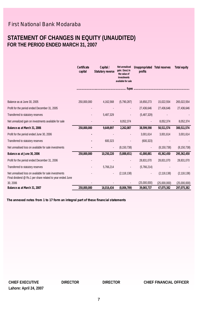### **STATEMENT OF CHANGES IN EQUITY (UNAUDITED) FOR THE PERIOD ENDED MARCH 31, 2007**

|                                                                                                                     | Certificate<br>capital | Capital /<br><b>Statutory reverse</b> | Net unrealised<br>gain / (loss) in<br>the value of<br>investments<br>available for sale | <b>Unappropriated</b><br>profits | <b>Total reserves</b> | <b>Total equity</b> |
|---------------------------------------------------------------------------------------------------------------------|------------------------|---------------------------------------|-----------------------------------------------------------------------------------------|----------------------------------|-----------------------|---------------------|
|                                                                                                                     |                        |                                       |                                                                                         |                                  |                       |                     |
| Balance as at June 30, 2005                                                                                         | 250,000,000            | 4,162,568                             | (5,790,287)                                                                             | 16,650,273                       | 15,022,554            | 265,022,554         |
| Profit for the period ended December 31, 2005                                                                       |                        |                                       |                                                                                         | 27,436,646                       | 27,436,646            | 27,436,646          |
| Transferred to statutory reserves                                                                                   |                        | 5,487,329                             |                                                                                         | (5,487,329)                      |                       |                     |
| Net unrealized gain on investments available for sale                                                               |                        |                                       | 8,052,374                                                                               |                                  | 8,052,374             | 8,052,374           |
| Balance as at March 31, 2006                                                                                        | 250,000,000            | 9,649,897                             | 2,262,087                                                                               | 38,599,590                       | 50,511,574            | 300,511,574         |
| Profit for the period ended June 30, 2006                                                                           |                        |                                       |                                                                                         | 3,001,614                        | 3,001,614             | 3,001,614           |
| Transferred to statutory reserves                                                                                   |                        | 600,323                               |                                                                                         | (600, 323)                       |                       |                     |
| Net unrealised loss on available for sale investments                                                               |                        | $\overline{a}$                        | (8, 150, 738)                                                                           |                                  | (8, 150, 738)         | (8, 150, 738)       |
| Balance as at June 30, 2006                                                                                         | 250,000,000            | 10,250,220                            | (5,888,651)                                                                             | 41,000,881                       | 45,362,450            | 295,362,450         |
| Profit for the period ended December 31, 2006                                                                       |                        |                                       | $\overline{\phantom{0}}$                                                                | 28,831,070                       | 28,831,070            | 28,831,070          |
| Transferred to statutory reserves                                                                                   |                        | 5,766,214                             |                                                                                         | (5,766,214)                      |                       |                     |
| Net unrealised loss on available for sale investments<br>Final dividend @ Rs.1 per share related to year ended June |                        |                                       | (2, 118, 138)                                                                           |                                  | (2, 118, 138)         | (2, 118, 138)       |
| 30, 2006                                                                                                            |                        |                                       |                                                                                         | (25,000,000)                     | (25,000,000)          | (25,000,000)        |
| Balance as at March 31, 2007                                                                                        | 250,000,000            | 16,016,434                            | (8,006,789)                                                                             | 39,065,737                       | 47,075,382            | 297,075,382         |

*The annexed notes from 1 to 17 form an integral part of these financial statements*

**Lahore: April 24, 2007**

**CHIEF EXECUTIVE DIRECTOR DIRECTOR CHIEF FINANCIAL OFFICER**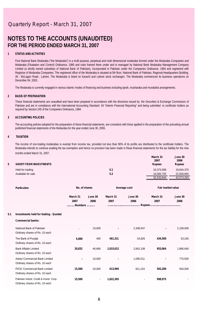### **NOTES TO THE ACCOUNTS (UNAUDITED) FOR THE PERIOD ENDED MARCH 31, 2007**

#### **1 STATUS AND ACTIVITIES**

First National Bank Modaraba ("the Modaraba") is a multi purpose, perpetual and multi dimensional modaraba formed under the Modaraba Companies and Modaraba (Floatation and Control) Ordinance, 1980 and rules framed there under and is managed by National Bank Modaraba Management Company Limited (a wholly owned subsidiary of National Bank of Pakistan), incorporated in Pakistan under the Companies Ordinance, 1984 and registered with Registrar of Modaraba Companies. The registered office of the Modaraba is situated at 5th floor, National Bank of Pakistan, Regional Headquarters Building, 26 - McLagon Road , Lahore. The Modaraba is listed on Karachi and Lahore stock exchanges. The Modaraba commenced its business operations on December 04, 2003.

The Modaraba is currently engaged in various islamic modes of financing and business including ijarah, musharaka and murabaha arrangements.

#### **2 BASIS OF PREPARATION**

These financial statements are unaudited and have been prepared in accordance with the directives issued by the Securities & Exchange Commission of Pakistan and are in compliance with the International Accounting Standard 34 "Interim Financial Reporting" and being submitted to certificate holders as required by Section 245 of the Companies Ordinance, 1984.

#### **3 ACCOUNTING POLICIES**

The accounting policies adopted for the preparation of these financial statements, are consistent with those applied in the preparation of the preceding annual published financial statements of the Modaraba for the year ended June 30, 2006.

#### **4 TAXATION**

The income of non-trading modarabas is exempt from income tax, provided not less than 90% of its profits are distributed to the certificate holders. The Modaraba intends to continue availing the tax exemption and hence no provision has been made in these financial statements for the tax liability for the nine months ended March 31, 2007.

| <b>SHORT-TERM INVESTMENTS</b> |     | March 31<br>2007<br><b>Rupees</b> | June 30<br>2006<br><b>Rupees</b> |
|-------------------------------|-----|-----------------------------------|----------------------------------|
| Held for trading              | 5.1 | 16.373.089                        | 19,644,370                       |
| Available for sale            | 5.2 | 16.060.755                        | 22.928.893                       |
|                               |     | 32.433.844                        | 42.573.263                       |

|     | <b>Particulars</b>                      |                  | No. of shares   |                  | Average cost<br>Fair market value |                  |                 |  |
|-----|-----------------------------------------|------------------|-----------------|------------------|-----------------------------------|------------------|-----------------|--|
|     |                                         | March 31<br>2007 | June 30<br>2006 | March 31<br>2007 | June 30<br>2006                   | March 31<br>2007 | June 30<br>2006 |  |
|     |                                         | .Numbers         |                 |                  |                                   |                  |                 |  |
| 5.1 | Investments held for trading - Quoted   |                  |                 |                  |                                   |                  |                 |  |
|     | <b>Commercial banks:</b>                |                  |                 |                  |                                   |                  |                 |  |
|     | National Bank of Pakistan               |                  | 10,000          | $\blacksquare$   | 2,348,547                         | ٠                | 2,158,000       |  |
|     | Ordinary shares of Rs. 10 each          |                  |                 |                  |                                   |                  |                 |  |
|     | The Bank of Punjab                      | 5,000            | 400             | 461,311          | 34,826                            | 434,500          | 33,160          |  |
|     | Ordinary shares of Rs. 10 each          |                  |                 |                  |                                   |                  |                 |  |
|     | <b>Bank Alfalah Limited</b>             | 20,832           | 46.666          | 1,015,012        | 2.842.108                         | 953,064          | 1,866,640       |  |
|     | Ordinary shares of Rs. 10 each          |                  |                 |                  |                                   |                  |                 |  |
|     | Askari Commercial Bank Limited          | ٠                | 10,000          | ٠                | 1,095,511                         |                  | 775,500         |  |
|     | Ordinary shares of Rs. 10 each          |                  |                 |                  |                                   |                  |                 |  |
|     | <b>PICIC Commercial Bank Limited</b>    | 15,500           | 20.000          | 613,994          | 811,103                           | 502,200          | 504,000         |  |
|     | Ordinary shares of Rs. 10 each          |                  |                 |                  |                                   |                  |                 |  |
|     | Pakistan Indust. Credit & Invest. Corp. | 15,500           | $\blacksquare$  | 1,022,393        | -                                 | 998,975          |                 |  |
|     | Ordinary shares of Rs. 10 each          |                  |                 |                  |                                   |                  |                 |  |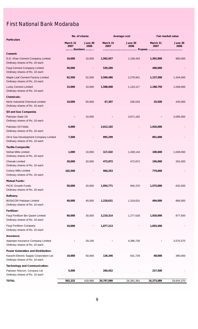|                                                                           |                  | No. of shares              |                  | Average cost    |                  | <b>Fair market value</b> |  |  |
|---------------------------------------------------------------------------|------------------|----------------------------|------------------|-----------------|------------------|--------------------------|--|--|
| <b>Particulars</b>                                                        | March 31<br>2007 | June 30<br>2006<br>Numbers | March 31<br>2007 | June 30<br>2006 | March 31<br>2007 | June 30<br>2006          |  |  |
| Cement:                                                                   |                  |                            |                  |                 |                  |                          |  |  |
| D.G. Khan Cement Company Limited<br>Ordinary shares of Rs. 10 each        | 16,000           | 10,000                     | 1,582,927        | 1,158,443       | 1,392,000        | 900,000                  |  |  |
| Fauji Cement Company Limited<br>Ordinary shares of Rs. 10 each            | 30,000           |                            | 539,289          |                 | 498,000          |                          |  |  |
| Maple Leaf Cement Factory Limited<br>Ordinary shares of Rs. 10 each       | 62,500           | 52,500                     | 2,500,486        | 2,278,941       | 1,137,500        | 1,344,000                |  |  |
| <b>Lucky Cement Limited</b><br>Ordinary shares of Rs. 10 each             | 15,000           | 10,000                     | 1,588,608        | 1,133,117       | 1,188,750        | 1,048,000                |  |  |
| <b>Chemicals:</b>                                                         |                  |                            |                  |                 |                  |                          |  |  |
| Nimir Industrial Chemical Limited<br>Ordinary shares of Rs. 10 each       | 10,000           | 50,000                     | 67,307           | 336,533         | 25,500           | 245,000                  |  |  |
| <b>Oil and Gas Companies</b>                                              |                  |                            |                  |                 |                  |                          |  |  |
| Pakistan State Oil<br>Ordinary shares of Rs. 10 each                      |                  | 10,000                     |                  | 3,871,162       |                  | 3,095,000                |  |  |
| Pakistan Oil Fields<br>Ordinary shares of Rs. 10 each                     | 6,000            |                            | 2,012,102        |                 | 1,926,000        |                          |  |  |
| Oil & Gas Development Company Limited<br>Ordinary shares of Rs. 10 each   | 7,500            |                            | 895,299          |                 | 891,000          |                          |  |  |
| <b>Textile Composite:</b>                                                 |                  |                            |                  |                 |                  |                          |  |  |
| Nishat Mills Limited<br>Ordinary shares of Rs. 10 each                    | 1,000            | 10,000                     | 117,410          | 1,438,144       | 100,600          | 1,048,000                |  |  |
| Chenab Limited<br>Ordinary shares of Rs. 10 each                          | 20,000           | 20,000                     | 472,872          | 472,872         | 196,000          | 291,000                  |  |  |
| Colony Mills Limited<br>Ordinary shares of Rs. 10 each                    | 102,500          |                            | 960,353          |                 | 779,000          |                          |  |  |
| <b>Mutual Funds:</b>                                                      |                  |                            |                  |                 |                  |                          |  |  |
| PICIC Growth Funds<br>Ordinary shares of Rs. 10 each                      | 50,000           | 20,000                     | 1,954,771        | 945,370         | 1,575,000        | 632,000                  |  |  |
| Refinery:                                                                 |                  |                            |                  |                 |                  |                          |  |  |
| <b>BOSICOR Pakistan Limited</b><br>Ordinary shares of Rs. 10 each         | 40,000           | 40,000                     | 1,318,631        | 1,318,631       | 494,000          | 866,000                  |  |  |
| Fertilizer:                                                               |                  |                            |                  |                 |                  |                          |  |  |
| Fauji Fertilizer Bin Qasim Limited<br>Ordinary shares of Rs. 10 each      | 60,000           | 30,000                     | 2,210,314        | 1,277,628       | 1,920,000        | 877,500                  |  |  |
| Fauji Fertilizer Company<br>Ordinary shares of Rs. 10 each                | 10,000           |                            | 1,077,213        |                 | 1,055,500        |                          |  |  |
| Insurance:                                                                |                  |                            |                  |                 |                  |                          |  |  |
| Adamjee Insurance Company Limited<br>Ordinary shares of Rs. 10 each       |                  | 29,100                     |                  | 4,396,726       |                  | 3,570,570                |  |  |
| <b>Power Generation and Distribution:</b>                                 |                  |                            |                  |                 |                  |                          |  |  |
| Karachi Electric Supply Corporation Ltd<br>Ordinary shares of Rs. 10 each | 10,000           | 50,000                     | 126,346          | 631,729         | 68,000           | 390,000                  |  |  |
| <b>Technology and Communication:</b>                                      |                  |                            |                  |                 |                  |                          |  |  |
| Pakistan Telecom. Company Ltd<br>Ordinary shares of Rs. 10 each           | 5,000            |                            | 260,452          |                 | 237,500          |                          |  |  |
| TOTAL                                                                     | 502,332          | 418,666                    | 20,797,090       | 26,391,391      | 16,373,089       | 19,644,370               |  |  |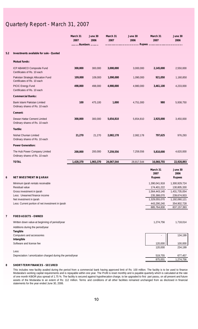|                         |                                                                   | March 31<br>2007<br>Numbers | June 30<br>2006 | March 31<br>2007 | June 30<br>2006 | March 31<br>2007                  | June 30<br>2006                  |
|-------------------------|-------------------------------------------------------------------|-----------------------------|-----------------|------------------|-----------------|-----------------------------------|----------------------------------|
| 5.2                     | Investments available for sale - Quoted                           |                             |                 |                  |                 |                                   |                                  |
|                         | <b>Mutual funds:</b>                                              |                             |                 |                  |                 |                                   |                                  |
|                         | ICP ABAMCO Composite Fund<br>Certificates of Rs. 10 each          | 300,000                     | 300,000         | 3,000,000        | 3,000,000       | 2,145,000                         | 2,550,000                        |
|                         | Pakistan Strategic Allocation Fund<br>Certificates of Rs. 10 each | 109,000                     | 109,000         | 1,090,000        | 1,090,000       | 921,050                           | 1,160,850                        |
|                         | PICIC Energy Fund<br>Certificates of Rs. 10 each                  | 498,000                     | 498,000         | 4,980,000        | 4,980,000       | 3,461,100                         | 4,233,000                        |
|                         | <b>Commercial Banks:</b>                                          |                             |                 |                  |                 |                                   |                                  |
|                         | Bank Islami Pakistan Limited<br>Ordinary shares of Rs. 10 each    | 100                         | 475,100         | 1,000            | 4,751,000       | 980                               | 5,938,750                        |
|                         | Cement:                                                           |                             |                 |                  |                 |                                   |                                  |
|                         | Dewan Hattar Cement Limited<br>Ordinary shares of Rs. 10 each     | 300,000                     | 300,000         | 5,654,810        | 5,654,810       | 2,925,000                         | 3,450,000                        |
|                         | Textile:                                                          |                             |                 |                  |                 |                                   |                                  |
|                         | Nishat Chunian Limited<br>Ordinary shares of Rs. 10 each          | 21,270                      | 21,270          | 2,082,178        | 2,082,178       | 797,625                           | 976,293                          |
|                         | <b>Power Generation:</b>                                          |                             |                 |                  |                 |                                   |                                  |
|                         | The Hub Power Company Limited<br>Ordinary shares of Rs. 10 each   | 200,000                     | 200,000         | 7,259,556        | 7,259,556       | 5,810,000                         | 4,620,000                        |
|                         | <b>TOTAL</b>                                                      | 1,428,370                   | 1,903,370       | 24,067,544       | 28,817,544      | 16,060,755                        | 22,928,893                       |
| 6                       | <b>NET INVESTMENT IN IJARAH</b>                                   |                             |                 |                  |                 | March 31<br>2007<br><b>Rupees</b> | June 30<br>2006<br><b>Rupees</b> |
|                         | Minimum ijarah rentals receivable                                 |                             |                 |                  |                 | 1,390,041,918                     | 1,300,929,724                    |
|                         | Residual value                                                    |                             |                 |                  |                 | 174,401,222                       | 130,805,330                      |
|                         | Gross investment in ijarah                                        |                             |                 |                  |                 | 1,564,443,140                     | 1,431,735,054                    |
|                         | Less: Unearned finance income                                     |                             |                 |                  |                 | 235,388,070                       | 239,674,933                      |
|                         | Net investment in ijarah                                          |                             |                 |                  |                 | 1,329,055,070                     | 1,192,060,121                    |
|                         | Less: Current portion of net investment in ijarah                 |                             |                 |                  |                 | 443,290,240<br>885,764,830        | 354,902,728<br>837, 157, 393     |
|                         |                                                                   |                             |                 |                  |                 |                                   |                                  |
| $\overline{\mathbf{r}}$ | <b>FIXED ASSETS - OWNED</b>                                       |                             |                 |                  |                 |                                   |                                  |
|                         | Written down value-at beginning of period/year                    |                             |                 |                  |                 | 1,274,756                         | 1,718,014                        |
|                         | Additions during the period/year<br>Tangible                      |                             |                 |                  |                 |                                   |                                  |
|                         | Computers and accessories                                         |                             |                 |                  |                 | $\overline{\phantom{a}}$          | 134,199                          |
|                         | Intangible                                                        |                             |                 |                  |                 |                                   |                                  |
|                         | Software and license fee                                          |                             |                 |                  |                 | 120,000<br>120,000                | 100,000<br>234,199               |
|                         | Less:                                                             |                             |                 |                  |                 |                                   |                                  |
|                         | Depreciation / amortization charged during the period/year        |                             |                 |                  |                 | 519,755                           | 677,457                          |

**8 SHORT-TERM FINANCES - SECURED**

This includes new facility availed during the period from a commercial bank having approved limit of Rs: 100 million. The facility is to be used to finance Modaraba's working capital requirements and is repayable within one year. The Profit is reset monthly and is payable quarterly which is calculated at the rate of one month KIBOR plus spread of 1.75 %. The facility is secured against hypothecation charge, to be upgraded to first pari passu, on all present and future assets of the Modaraba to an extent of Rs: 112 million. Terms and conditions of all other facilities remained unchanged from as disclosed in financial statements for the year ended June 30, 2006.

875,001 1,274,756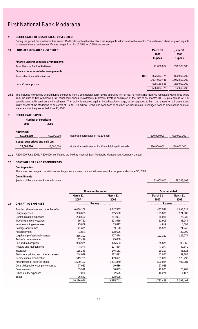#### **9 CERTIFICATES OF MUSHARAKA - UNSECURED**

During the period the modaraba has issued Certificates of Musharaka which are repayable within next twelve months.The estimated share of profit payable on quarterly basis on these certificates ranges from Rs 10.05% to 10.25% per annum.

| 10 | <b>LONG-TERM FINANCES - SECURED</b>  |      | March 31<br>2007<br><b>Rupees</b> | June 30<br>2006<br><b>Rupees</b> |
|----|--------------------------------------|------|-----------------------------------|----------------------------------|
|    | Finance under musharaka arrangements |      |                                   |                                  |
|    | From National Bank of Pakistan       |      | 141,666,667                       | 272,500,000                      |
|    | Finance under morabaha arrangements  |      |                                   |                                  |
|    | From other financial institutions    | 10.1 | 892,333,774                       | 800.000.000                      |
|    |                                      |      | 1,034,000,441                     | 1,072,500,000                    |
|    | Less: Current portion                |      | 528,166,666                       | 280.000.000                      |
|    |                                      |      | 505,833,775                       | 792.500.000                      |
|    |                                      |      |                                   |                                  |

10.1 This includes new facility availed during the period from a commercial bank having approved limit of Rs: 75 million.The facility is repayable within three years<br>% from the date of first withdrawl in six equal semi ann payable along with semi annual installments. The facility is secured against hypothecation charge, to be upgraded to first pari passu, on all present and future assets of the Modaraba to an extent of Rs: 93.813 million. Terms and conditions of all other facilities remain unchanged from as disclosed in financial statements for the year ended June 30, 2006.

#### **11 CERTIFICATE CAPITAL**

| Number of certificate           |            |                                                         |             |             |
|---------------------------------|------------|---------------------------------------------------------|-------------|-------------|
| 2006                            | 2005       |                                                         |             |             |
| Authorized:                     |            |                                                         |             |             |
| 60.000.000                      | 60.000.000 | Modaraba certificates of Rs.10 each.                    | 600,000,000 | 600,000,000 |
| Issued, subscribed and paid up: |            |                                                         |             |             |
| 25,000,000                      | 25,000,000 | Modaraba certificates of Rs.10 each fully paid in cash. | 250,000,000 | 250,000,000 |
|                                 |            |                                                         |             |             |

168,086,105

**11.1** 7,500,000(June 2006: 7,500,000) certificates are held by National Bank Modaraba Management Company Limited.

#### **12 CONTINGENCIES AND COMMITMENTS**

#### **Contingencies**

There was no change in the status of contingencies as stated in financial statements for the year ended June 30, 2006.

#### **Commitments**

Ijarah facilities approved but not disbursed 53,000,000

|    |                                         | Nine months ended |           | Quarter ended |           |
|----|-----------------------------------------|-------------------|-----------|---------------|-----------|
|    |                                         | March 31          | March 31  | March 31      | March 31  |
|    |                                         | 2007              | 2006      | 2007          | 2006      |
| 13 | <b>OPERATING EXPENSES</b>               | Rupees            |           | Rupees<br>    |           |
|    | Salaries, allowances and other benefits | 6,059,208         | 4,747,557 | 1,467,546     | 1,695,624 |
|    | Utility expenses                        | 366.000           | 365.500   | 123,000       | 121,500   |
|    | Communication expenses                  | 208.680           | 264,007   | 58,986        | 76,038    |
|    | Traveling and conveyance                | 69,751            | 223,559   | 62,906        | 83,244    |
|    | Vehicle running expenses                | 25,859            | 33,817    | 4,819         | 4,097     |
|    | Postage and stamps                      | 91,081            | 59,120    | 20,973        | 21,245    |
|    | Advertisement                           | 24,834            | 128,626   |               | 32,000    |
|    | Legal and professional charges          | 366,302           | 407.474   | 123,322       | 125,074   |
|    | Auditor's remuneration                  | 67.489            | 25.000    |               |           |
|    | Fee and subscription                    | 336,301           | 425,533   | 56,000        | 90,865    |
|    | Repairs and maintenance                 | 124,228           | 107,884   | 27,320        | 40,840    |
|    | Insurance                               | 116,185           | 146,181   | 29,217        | 38,828    |
|    | Stationery, printing and other expenses | 244.079           | 222,421   | 42,920        | 59,388    |
|    | Depreciation / amortization             | 519.755           | 499,621   | 161,038       | 173,290   |
|    | Amortization of deferred costs          | 1,500,102         | 1,491,840 | 500,034       | 497,281   |
|    | Central depository company charges      | 27,053            | 19,586    | 27,053        |           |
|    | Entertainment                           | 55,911            | 56,833    | 12,020        | 26,967    |
|    | Other sundry expenses                   | 37,036            | 52,575    | 16,274        | 11,187    |
|    | Zakat                                   | 36,842            | 108,609   |               |           |
|    |                                         | 10,276,696        | 9,385,743 | 2,733,428     | 3,097,468 |
|    |                                         |                   |           |               |           |